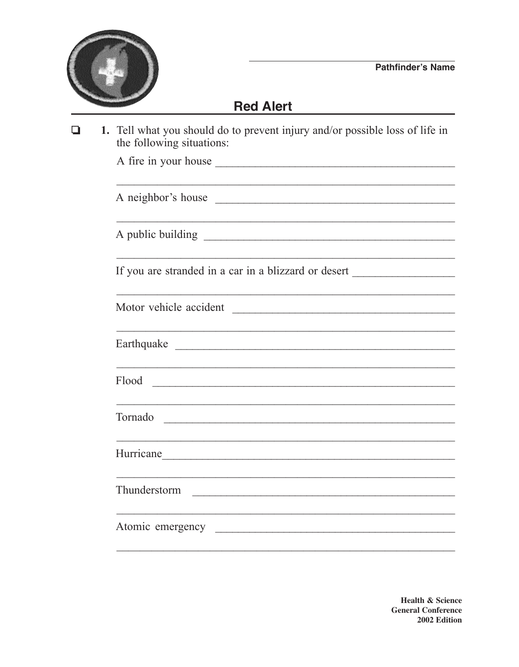

## **Red Alert**

1. Tell what you should do to prevent injury and/or possible loss of life in  $\Box$ the following situations: